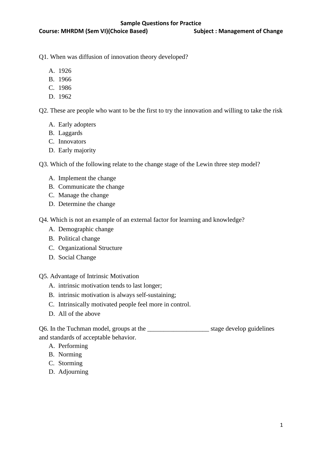Q1. When was diffusion of innovation theory developed?

- A. 1926
- B. 1966
- C. 1986
- D. 1962

Q2. These are people who want to be the first to try the innovation and willing to take the risk

- A. Early adopters
- B. Laggards
- C. Innovators
- D. Early majority

Q3. Which of the following relate to the change stage of the Lewin three step model?

- A. Implement the change
- B. Communicate the change
- C. Manage the change
- D. Determine the change

Q4. Which is not an example of an external factor for learning and knowledge?

- A. Demographic change
- B. Political change
- C. Organizational Structure
- D. Social Change

Q5. Advantage of Intrinsic Motivation

- A. intrinsic motivation tends to last longer;
- B. intrinsic motivation is always self-sustaining;
- C. Intrinsically motivated people feel more in control.
- D. All of the above

Q6. In the Tuchman model, groups at the \_\_\_\_\_\_\_\_\_\_\_\_\_\_\_\_\_\_\_ stage develop guidelines and standards of acceptable behavior.

- A. Performing
- B. Norming
- C. Storming
- D. Adjourning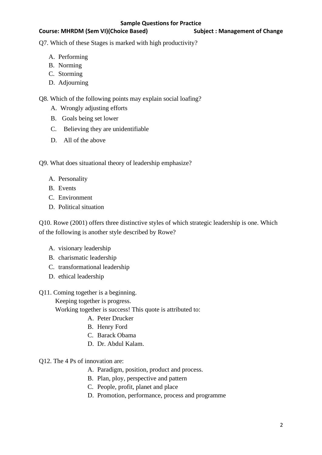## Course: MHRDM (Sem VI)(Choice Based) Subject : Management of Change

Q7. Which of these Stages is marked with high productivity?

- A. Performing
- B. Norming
- C. Storming
- D. Adjourning

Q8. Which of the following points may explain social loafing?

- A. Wrongly adjusting efforts
- B. Goals being set lower
- C. Believing they are unidentifiable
- D. All of the above

Q9. What does situational theory of leadership emphasize?

- A. Personality
- B. Events
- C. Environment
- D. Political situation

Q10. Rowe (2001) offers three distinctive styles of which strategic leadership is one. Which of the following is another style described by Rowe?

- A. visionary leadership
- B. charismatic leadership
- C. transformational leadership
- D. ethical leadership

## Q11. Coming together is a beginning.

Keeping together is progress.

Working together is success! This quote is attributed to:

- A. Peter Drucker
- B. Henry Ford
- C. Barack Obama
- D. Dr. Abdul Kalam.

## Q12. The 4 Ps of innovation are:

- A. Paradigm, position, product and process.
- B. Plan, ploy, perspective and pattern
- C. People, profit, planet and place
- D. Promotion, performance, process and programme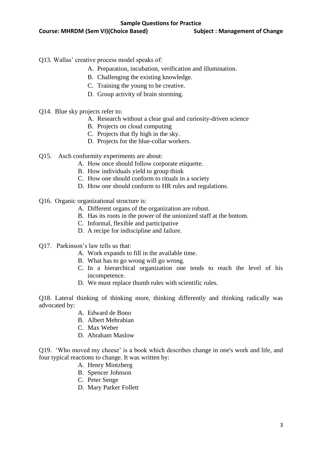- Q13. Wallas' creative process model speaks of:
	- A. Preparation, incubation, verification and illumination.
	- B. Challenging the existing knowledge.
	- C. Training the young to be creative.
	- D. Group activity of brain storming.
- Q14. Blue sky projects refer to:
	- A. Research without a clear goal and curiosity-driven science
	- B. Projects on cloud computing
	- C. Projects that fly high in the sky.
	- D. Projects for the blue-collar workers.
- Q15. Asch conformity experiments are about:
	- A. How once should follow corporate etiquette.
	- B. How individuals yield to group think
	- C. How one should conform to rituals in a society
	- D. How one should conform to HR rules and regulations.
- Q16. Organic organizational structure is:
	- A. Different organs of the organization are robust.
	- B. Has its roots in the power of the unionized staff at the bottom.
	- C. Informal, flexible and participative
	- D. A recipe for indiscipline and failure.
- Q17. Parkinson's law tells us that:
	- A. Work expands to fill in the available time.
	- B. What has to go wrong will go wrong.
	- C. In a hierarchical organization one tends to reach the level of his incompetence.
	- D. We must replace thumb rules with scientific rules.

Q18. Lateral thinking of thinking more, thinking differently and thinking radically was advocated by:

- A. Edward de Bono
- B. Albert Mehrabian
- C. Max Weber
- D. Abraham Maslow

Q19. 'Who moved my cheese' is a book which describes change in one's work and life, and four typical reactions to change. It was written by:

- A. Henry Mintzberg
- B. Spencer Johnson
- C. Peter Senge
- D. Mary Parker Follett